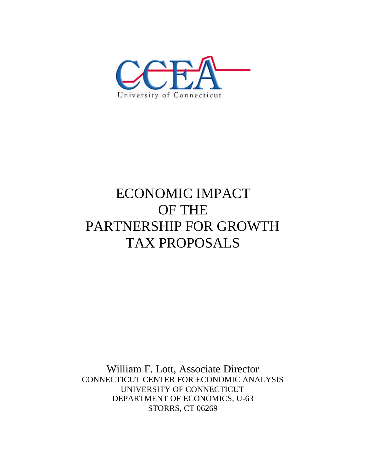

# ECONOMIC IMPACT OF THE PARTNERSHIP FOR GROWTH TAX PROPOSALS

William F. Lott, Associate Director CONNECTICUT CENTER FOR ECONOMIC ANALYSIS UNIVERSITY OF CONNECTICUT DEPARTMENT OF ECONOMICS, U-63 STORRS, CT 06269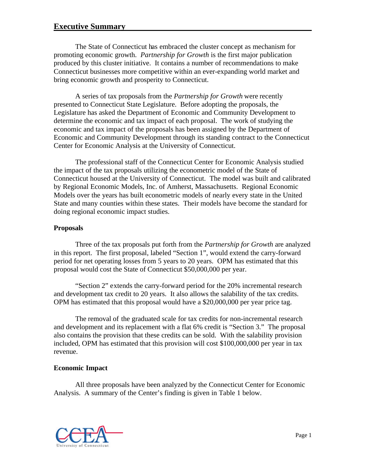## **Executive Summary**

The State of Connecticut has embraced the cluster concept as mechanism for promoting economic growth. *Partnership for Growth* is the first major publication produced by this cluster initiative. It contains a number of recommendations to make Connecticut businesses more competitive within an ever-expanding world market and bring economic growth and prosperity to Connecticut.

A series of tax proposals from the *Partnership for Growth* were recently presented to Connecticut State Legislature. Before adopting the proposals, the Legislature has asked the Department of Economic and Community Development to determine the economic and tax impact of each proposal. The work of studying the economic and tax impact of the proposals has been assigned by the Department of Economic and Community Development through its standing contract to the Connecticut Center for Economic Analysis at the University of Connecticut.

The professional staff of the Connecticut Center for Economic Analysis studied the impact of the tax proposals utilizing the econometric model of the State of Connecticut housed at the University of Connecticut. The model was built and calibrated by Regional Economic Models, Inc. of Amherst, Massachusetts. Regional Economic Models over the years has built econometric models of nearly every state in the United State and many counties within these states. Their models have become the standard for doing regional economic impact studies.

#### **Proposals**

Three of the tax proposals put forth from the *Partnership for Growth* are analyzed in this report. The first proposal, labeled "Section 1", would extend the carry-forward period for net operating losses from 5 years to 20 years. OPM has estimated that this proposal would cost the State of Connecticut \$50,000,000 per year.

"Section 2" extends the carry-forward period for the 20% incremental research and development tax credit to 20 years. It also allows the salability of the tax credits. OPM has estimated that this proposal would have a \$20,000,000 per year price tag.

The removal of the graduated scale for tax credits for non-incremental research and development and its replacement with a flat 6% credit is "Section 3." The proposal also contains the provision that these credits can be sold. With the salability provision included, OPM has estimated that this provision will cost \$100,000,000 per year in tax revenue.

#### **Economic Impact**

All three proposals have been analyzed by the Connecticut Center for Economic Analysis. A summary of the Center's finding is given in Table 1 below.

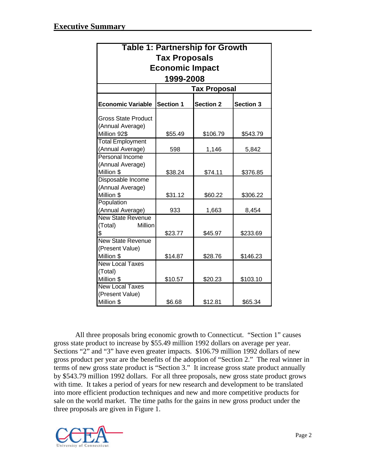| <b>Table 1: Partnership for Growth</b> |                     |                  |           |  |  |  |
|----------------------------------------|---------------------|------------------|-----------|--|--|--|
| <b>Tax Proposals</b>                   |                     |                  |           |  |  |  |
| <b>Economic Impact</b><br>1999-2008    |                     |                  |           |  |  |  |
|                                        |                     |                  |           |  |  |  |
|                                        | <b>Tax Proposal</b> |                  |           |  |  |  |
| <b>Economic Variable</b>               | <b>Section 1</b>    | <b>Section 2</b> | Section 3 |  |  |  |
| <b>Gross State Product</b>             |                     |                  |           |  |  |  |
| (Annual Average)                       |                     |                  |           |  |  |  |
| Million 92\$                           | \$55.49             | \$106.79         | \$543.79  |  |  |  |
| <b>Total Employment</b>                |                     |                  |           |  |  |  |
| (Annual Average)                       | 598                 | 1,146            | 5,842     |  |  |  |
| Personal Income                        |                     |                  |           |  |  |  |
| (Annual Average)                       |                     |                  |           |  |  |  |
| Million \$                             | \$38.24             | \$74.11          | \$376.85  |  |  |  |
| Disposable Income                      |                     |                  |           |  |  |  |
| (Annual Average)<br>Million \$         | \$31.12             | \$60.22          | \$306.22  |  |  |  |
| Population                             |                     |                  |           |  |  |  |
| (Annual Average)                       | 933                 | 1,663            | 8,454     |  |  |  |
| <b>New State Revenue</b>               |                     |                  |           |  |  |  |
| Million<br>(Total)                     |                     |                  |           |  |  |  |
| \$                                     | \$23.77             | \$45.97          | \$233.69  |  |  |  |
| <b>New State Revenue</b>               |                     |                  |           |  |  |  |
| (Present Value)                        |                     |                  |           |  |  |  |
| Million \$                             | \$14.87             | \$28.76          | \$146.23  |  |  |  |
| <b>New Local Taxes</b>                 |                     |                  |           |  |  |  |
| (Total)                                |                     |                  |           |  |  |  |
| Million \$                             | \$10.57             | \$20.23          | \$103.10  |  |  |  |
| <b>New Local Taxes</b>                 |                     |                  |           |  |  |  |
| (Present Value)                        |                     |                  |           |  |  |  |
| Million \$                             | \$6.68              | \$12.81          | \$65.34   |  |  |  |

All three proposals bring economic growth to Connecticut. "Section 1" causes gross state product to increase by \$55.49 million 1992 dollars on average per year. Sections "2" and "3" have even greater impacts. \$106.79 million 1992 dollars of new gross product per year are the benefits of the adoption of "Section 2." The real winner in terms of new gross state product is "Section 3." It increase gross state product annually by \$543.79 million 1992 dollars. For all three proposals, new gross state product grows with time. It takes a period of years for new research and development to be translated into more efficient production techniques and new and more competitive products for sale on the world market. The time paths for the gains in new gross product under the three proposals are given in Figure 1.

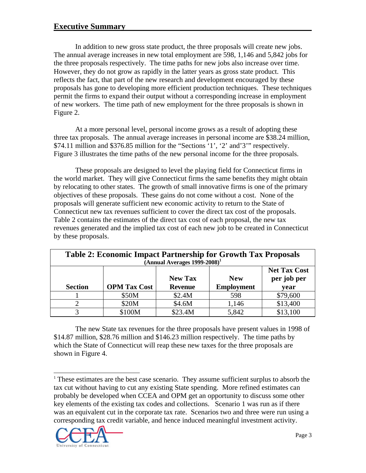In addition to new gross state product, the three proposals will create new jobs. The annual average increases in new total employment are 598, 1,146 and 5,842 jobs for the three proposals respectively. The time paths for new jobs also increase over time. However, they do not grow as rapidly in the latter years as gross state product. This reflects the fact, that part of the new research and development encouraged by these proposals has gone to developing more efficient production techniques. These techniques permit the firms to expand their output without a corresponding increase in employment of new workers. The time path of new employment for the three proposals is shown in Figure 2.

At a more personal level, personal income grows as a result of adopting these three tax proposals. The annual average increases in personal income are \$38.24 million, \$74.11 million and \$376.85 million for the "Sections '1', '2' and'3'" respectively. Figure 3 illustrates the time paths of the new personal income for the three proposals.

These proposals are designed to level the playing field for Connecticut firms in the world market. They will give Connecticut firms the same benefits they might obtain by relocating to other states. The growth of small innovative firms is one of the primary objectives of these proposals. These gains do not come without a cost. None of the proposals will generate sufficient new economic activity to return to the State of Connecticut new tax revenues sufficient to cover the direct tax cost of the proposals. Table 2 contains the estimates of the direct tax cost of each proposal, the new tax revenues generated and the implied tax cost of each new job to be created in Connecticut by these proposals.

| <b>Table 2: Economic Impact Partnership for Growth Tax Proposals</b><br>$[Annual Averages 1999-2008]^1$ |                     |                                  |                                 |                                            |  |  |
|---------------------------------------------------------------------------------------------------------|---------------------|----------------------------------|---------------------------------|--------------------------------------------|--|--|
| <b>Section</b>                                                                                          | <b>OPM Tax Cost</b> | <b>New Tax</b><br><b>Revenue</b> | <b>New</b><br><b>Employment</b> | <b>Net Tax Cost</b><br>per job per<br>year |  |  |
|                                                                                                         | \$50M               | \$2.4M                           | 598                             | \$79,600                                   |  |  |
|                                                                                                         | \$20M               | \$4.6M                           | 1,146                           | \$13,400                                   |  |  |
|                                                                                                         | \$100M              | \$23.4M                          | 5,842                           | \$13,100                                   |  |  |

The new State tax revenues for the three proposals have present values in 1998 of \$14.87 million, \$28.76 million and \$146.23 million respectively. The time paths by which the State of Connecticut will reap these new taxes for the three proposals are shown in Figure 4.

<sup>&</sup>lt;sup>1</sup> These estimates are the best case scenario. They assume sufficient surplus to absorb the tax cut without having to cut any existing State spending. More refined estimates can probably be developed when CCEA and OPM get an opportunity to discuss some other key elements of the existing tax codes and collections. Scenario 1 was run as if there was an equivalent cut in the corporate tax rate. Scenarios two and three were run using a corresponding tax credit variable, and hence induced meaningful investment activity.



 $\overline{a}$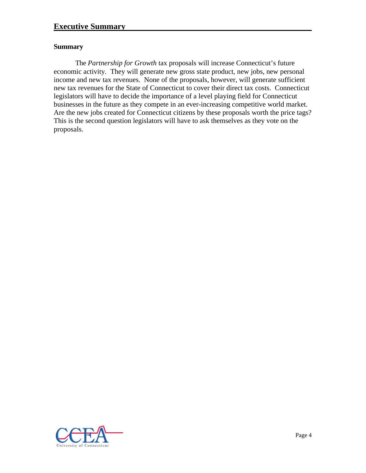### **Summary**

The *Partnership for Growth* tax proposals will increase Connecticut's future economic activity. They will generate new gross state product, new jobs, new personal income and new tax revenues. None of the proposals, however, will generate sufficient new tax revenues for the State of Connecticut to cover their direct tax costs. Connecticut legislators will have to decide the importance of a level playing field for Connecticut businesses in the future as they compete in an ever-increasing competitive world market. Are the new jobs created for Connecticut citizens by these proposals worth the price tags? This is the second question legislators will have to ask themselves as they vote on the proposals.

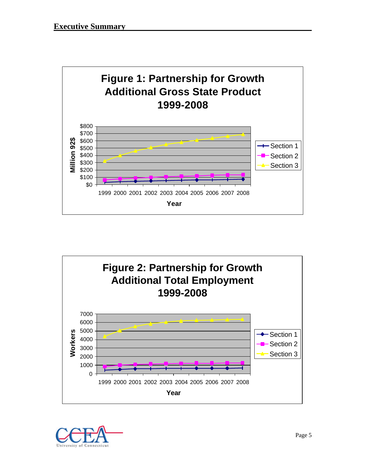